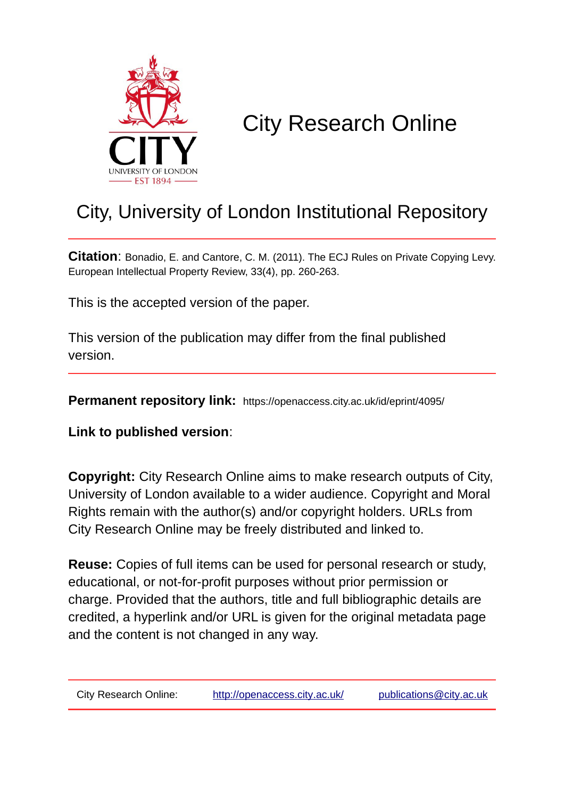

# City Research Online

## City, University of London Institutional Repository

**Citation**: Bonadio, E. and Cantore, C. M. (2011). The ECJ Rules on Private Copying Levy. European Intellectual Property Review, 33(4), pp. 260-263.

This is the accepted version of the paper.

This version of the publication may differ from the final published version.

**Permanent repository link:** https://openaccess.city.ac.uk/id/eprint/4095/

**Link to published version**:

**Copyright:** City Research Online aims to make research outputs of City, University of London available to a wider audience. Copyright and Moral Rights remain with the author(s) and/or copyright holders. URLs from City Research Online may be freely distributed and linked to.

**Reuse:** Copies of full items can be used for personal research or study, educational, or not-for-profit purposes without prior permission or charge. Provided that the authors, title and full bibliographic details are credited, a hyperlink and/or URL is given for the original metadata page and the content is not changed in any way.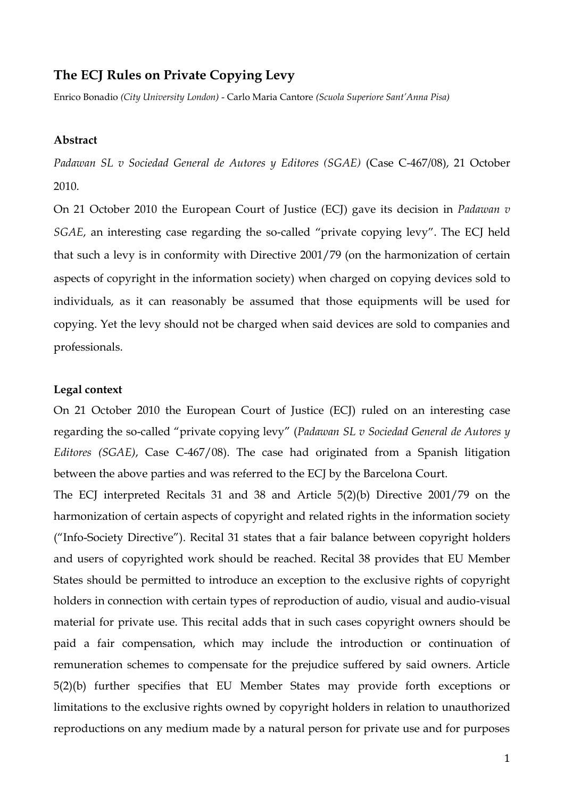### **The ECJ Rules on Private Copying Levy**

Enrico Bonadio *(City University London)* - Carlo Maria Cantore *(Scuola Superiore Sant'Anna Pisa)*

#### **Abstract**

*Padawan SL v Sociedad General de Autores y Editores (SGAE)* (Case C-467/08), 21 October 2010.

On 21 October 2010 the European Court of Justice (ECJ) gave its decision in *Padawan v SGAE*, an interesting case regarding the so-called "private copying levy". The ECJ held that such a levy is in conformity with Directive 2001/79 (on the harmonization of certain aspects of copyright in the information society) when charged on copying devices sold to individuals, as it can reasonably be assumed that those equipments will be used for copying. Yet the levy should not be charged when said devices are sold to companies and professionals.

#### **Legal context**

On 21 October 2010 the European Court of Justice (ECJ) ruled on an interesting case regarding the so-called "private copying levy" (*Padawan SL v Sociedad General de Autores y Editores (SGAE)*, Case C-467/08). The case had originated from a Spanish litigation between the above parties and was referred to the ECJ by the Barcelona Court.

The ECJ interpreted Recitals 31 and 38 and Article 5(2)(b) Directive 2001/79 on the harmonization of certain aspects of copyright and related rights in the information society ("Info-Society Directive"). Recital 31 states that a fair balance between copyright holders and users of copyrighted work should be reached. Recital 38 provides that EU Member States should be permitted to introduce an exception to the exclusive rights of copyright holders in connection with certain types of reproduction of audio, visual and audio-visual material for private use. This recital adds that in such cases copyright owners should be paid a fair compensation, which may include the introduction or continuation of remuneration schemes to compensate for the prejudice suffered by said owners. Article 5(2)(b) further specifies that EU Member States may provide forth exceptions or limitations to the exclusive rights owned by copyright holders in relation to unauthorized reproductions on any medium made by a natural person for private use and for purposes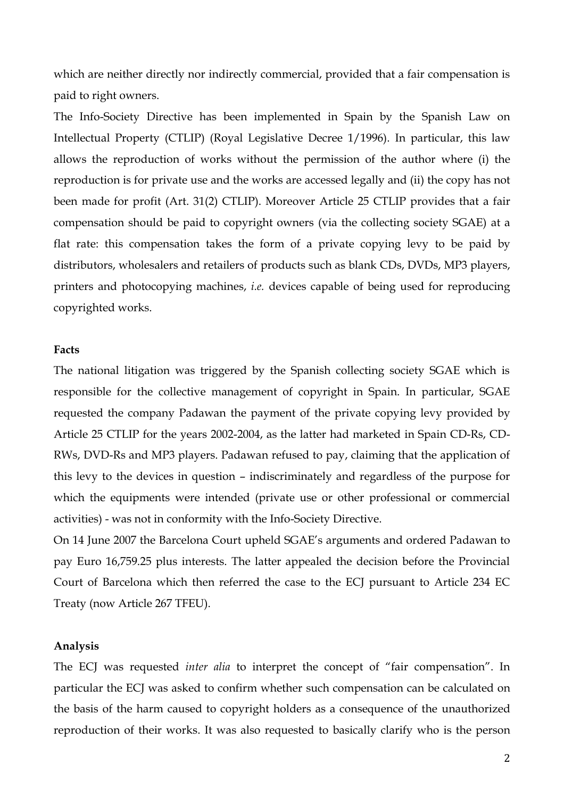which are neither directly nor indirectly commercial, provided that a fair compensation is paid to right owners.

The Info-Society Directive has been implemented in Spain by the Spanish Law on Intellectual Property (CTLIP) (Royal Legislative Decree 1/1996). In particular, this law allows the reproduction of works without the permission of the author where (i) the reproduction is for private use and the works are accessed legally and (ii) the copy has not been made for profit (Art. 31(2) CTLIP). Moreover Article 25 CTLIP provides that a fair compensation should be paid to copyright owners (via the collecting society SGAE) at a flat rate: this compensation takes the form of a private copying levy to be paid by distributors, wholesalers and retailers of products such as blank CDs, DVDs, MP3 players, printers and photocopying machines, *i.e.* devices capable of being used for reproducing copyrighted works.

#### **Facts**

The national litigation was triggered by the Spanish collecting society SGAE which is responsible for the collective management of copyright in Spain. In particular, SGAE requested the company Padawan the payment of the private copying levy provided by Article 25 CTLIP for the years 2002-2004, as the latter had marketed in Spain CD-Rs, CD-RWs, DVD-Rs and MP3 players. Padawan refused to pay, claiming that the application of this levy to the devices in question – indiscriminately and regardless of the purpose for which the equipments were intended (private use or other professional or commercial activities) - was not in conformity with the Info-Society Directive.

On 14 June 2007 the Barcelona Court upheld SGAE's arguments and ordered Padawan to pay Euro 16,759.25 plus interests. The latter appealed the decision before the Provincial Court of Barcelona which then referred the case to the ECJ pursuant to Article 234 EC Treaty (now Article 267 TFEU).

#### **Analysis**

The ECJ was requested *inter alia* to interpret the concept of "fair compensation". In particular the ECJ was asked to confirm whether such compensation can be calculated on the basis of the harm caused to copyright holders as a consequence of the unauthorized reproduction of their works. It was also requested to basically clarify who is the person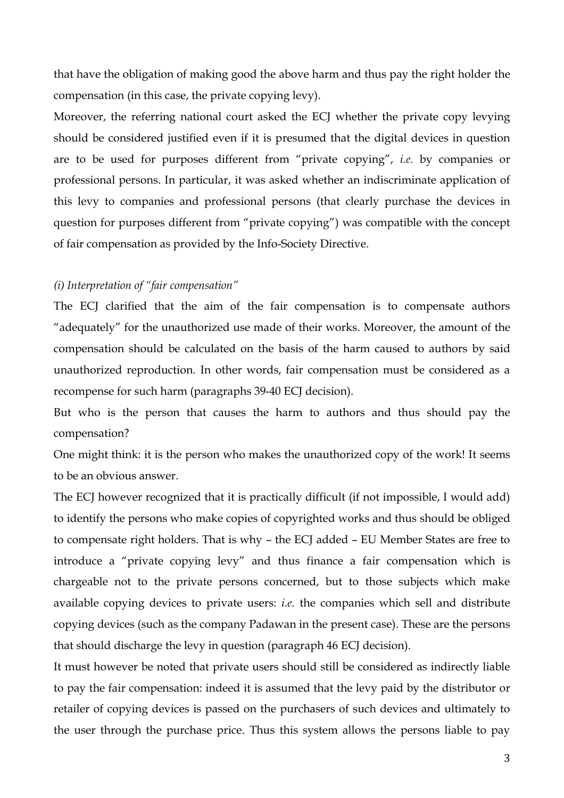that have the obligation of making good the above harm and thus pay the right holder the compensation (in this case, the private copying levy).

Moreover, the referring national court asked the ECJ whether the private copy levying should be considered justified even if it is presumed that the digital devices in question are to be used for purposes different from "private copying", *i.e.* by companies or professional persons. In particular, it was asked whether an indiscriminate application of this levy to companies and professional persons (that clearly purchase the devices in question for purposes different from "private copying") was compatible with the concept of fair compensation as provided by the Info-Society Directive.

#### *(i) Interpretation of "fair compensation"*

The ECJ clarified that the aim of the fair compensation is to compensate authors "adequately" for the unauthorized use made of their works. Moreover, the amount of the compensation should be calculated on the basis of the harm caused to authors by said unauthorized reproduction. In other words, fair compensation must be considered as a recompense for such harm (paragraphs 39-40 ECJ decision).

But who is the person that causes the harm to authors and thus should pay the compensation?

One might think: it is the person who makes the unauthorized copy of the work! It seems to be an obvious answer.

The ECJ however recognized that it is practically difficult (if not impossible, I would add) to identify the persons who make copies of copyrighted works and thus should be obliged to compensate right holders. That is why – the ECJ added – EU Member States are free to introduce a "private copying levy" and thus finance a fair compensation which is chargeable not to the private persons concerned, but to those subjects which make available copying devices to private users: *i.e.* the companies which sell and distribute copying devices (such as the company Padawan in the present case). These are the persons that should discharge the levy in question (paragraph 46 ECJ decision).

It must however be noted that private users should still be considered as indirectly liable to pay the fair compensation: indeed it is assumed that the levy paid by the distributor or retailer of copying devices is passed on the purchasers of such devices and ultimately to the user through the purchase price. Thus this system allows the persons liable to pay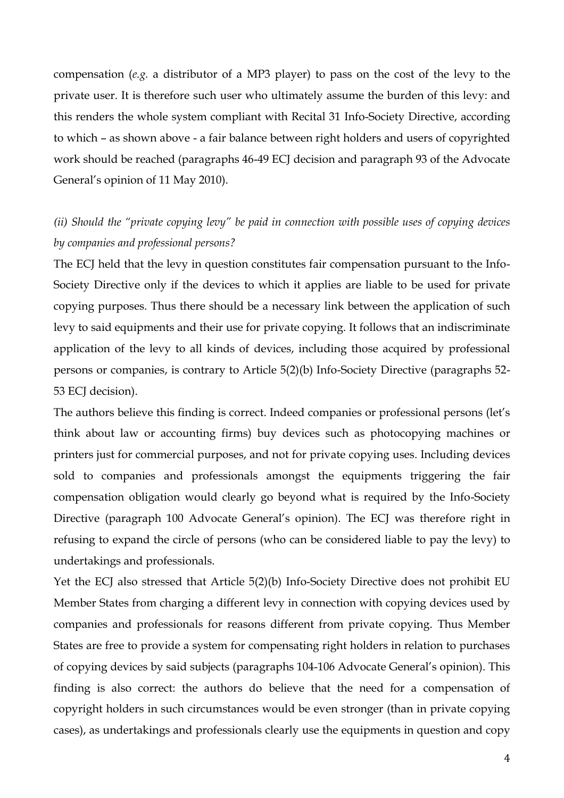compensation (*e.g.* a distributor of a MP3 player) to pass on the cost of the levy to the private user. It is therefore such user who ultimately assume the burden of this levy: and this renders the whole system compliant with Recital 31 Info-Society Directive, according to which – as shown above - a fair balance between right holders and users of copyrighted work should be reached (paragraphs 46-49 ECJ decision and paragraph 93 of the Advocate General's opinion of 11 May 2010).

## *(ii) Should the "private copying levy" be paid in connection with possible uses of copying devices by companies and professional persons?*

The ECJ held that the levy in question constitutes fair compensation pursuant to the Info-Society Directive only if the devices to which it applies are liable to be used for private copying purposes. Thus there should be a necessary link between the application of such levy to said equipments and their use for private copying. It follows that an indiscriminate application of the levy to all kinds of devices, including those acquired by professional persons or companies, is contrary to Article 5(2)(b) Info-Society Directive (paragraphs 52- 53 ECJ decision).

The authors believe this finding is correct. Indeed companies or professional persons (let's think about law or accounting firms) buy devices such as photocopying machines or printers just for commercial purposes, and not for private copying uses. Including devices sold to companies and professionals amongst the equipments triggering the fair compensation obligation would clearly go beyond what is required by the Info-Society Directive (paragraph 100 Advocate General's opinion). The ECJ was therefore right in refusing to expand the circle of persons (who can be considered liable to pay the levy) to undertakings and professionals.

Yet the ECJ also stressed that Article 5(2)(b) Info-Society Directive does not prohibit EU Member States from charging a different levy in connection with copying devices used by companies and professionals for reasons different from private copying. Thus Member States are free to provide a system for compensating right holders in relation to purchases of copying devices by said subjects (paragraphs 104-106 Advocate General's opinion). This finding is also correct: the authors do believe that the need for a compensation of copyright holders in such circumstances would be even stronger (than in private copying cases), as undertakings and professionals clearly use the equipments in question and copy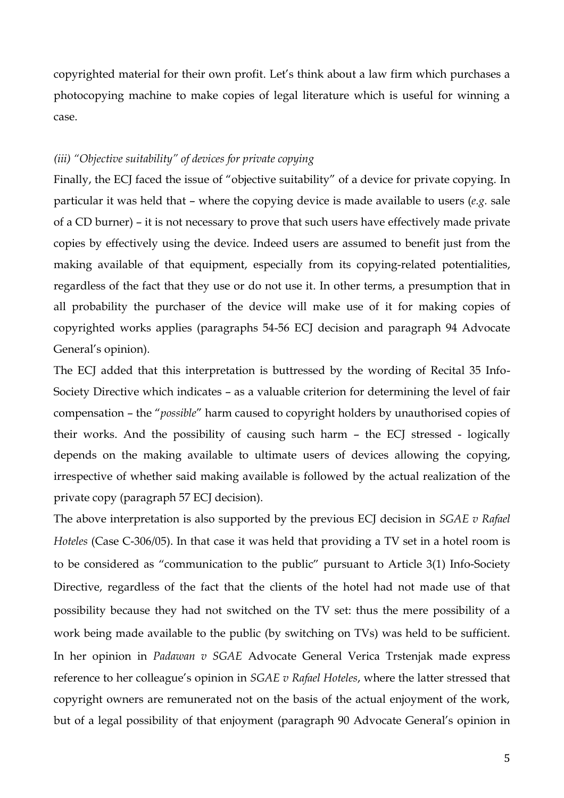copyrighted material for their own profit. Let's think about a law firm which purchases a photocopying machine to make copies of legal literature which is useful for winning a case.

#### *(iii) "Objective suitability" of devices for private copying*

Finally, the ECJ faced the issue of "objective suitability" of a device for private copying. In particular it was held that – where the copying device is made available to users (*e.g.* sale of a CD burner) – it is not necessary to prove that such users have effectively made private copies by effectively using the device. Indeed users are assumed to benefit just from the making available of that equipment, especially from its copying-related potentialities, regardless of the fact that they use or do not use it. In other terms, a presumption that in all probability the purchaser of the device will make use of it for making copies of copyrighted works applies (paragraphs 54-56 ECJ decision and paragraph 94 Advocate General's opinion).

The ECJ added that this interpretation is buttressed by the wording of Recital 35 Info-Society Directive which indicates – as a valuable criterion for determining the level of fair compensation – the "*possible*" harm caused to copyright holders by unauthorised copies of their works. And the possibility of causing such harm – the ECJ stressed - logically depends on the making available to ultimate users of devices allowing the copying, irrespective of whether said making available is followed by the actual realization of the private copy (paragraph 57 ECJ decision).

The above interpretation is also supported by the previous ECJ decision in *SGAE v Rafael Hoteles* (Case C-306/05). In that case it was held that providing a TV set in a hotel room is to be considered as "communication to the public" pursuant to Article 3(1) Info-Society Directive, regardless of the fact that the clients of the hotel had not made use of that possibility because they had not switched on the TV set: thus the mere possibility of a work being made available to the public (by switching on TVs) was held to be sufficient. In her opinion in *Padawan v SGAE* Advocate General Verica Trstenjak made express reference to her colleague's opinion in *SGAE v Rafael Hoteles*, where the latter stressed that copyright owners are remunerated not on the basis of the actual enjoyment of the work, but of a legal possibility of that enjoyment (paragraph 90 Advocate General's opinion in